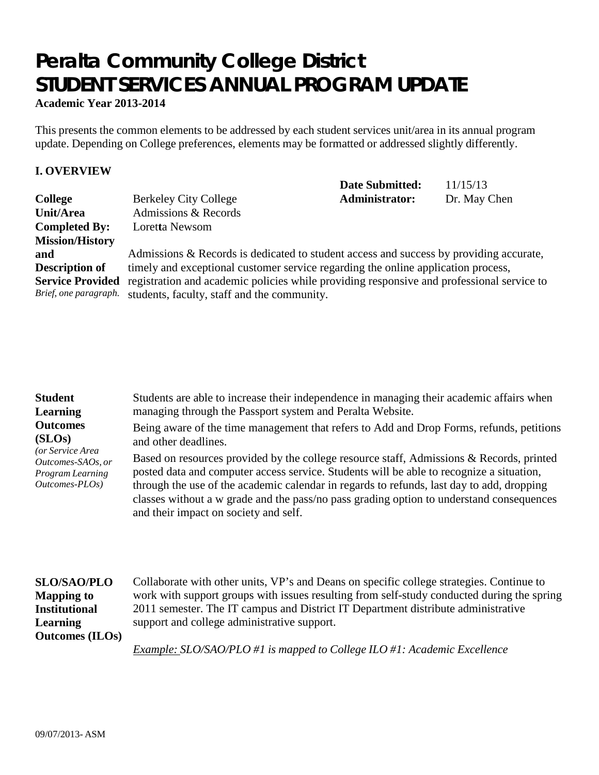# **Peralta Community College District STUDENT SERVICES ANNUAL PROGRAM UPDATE**

**Academic Year 2013-2014**

This presents the common elements to be addressed by each student services unit/area in its annual program update. Depending on College preferences, elements may be formatted or addressed slightly differently.

## **I. OVERVIEW**

|                         |                                                                                           | <b>Date Submitted:</b> | 11/15/13     |
|-------------------------|-------------------------------------------------------------------------------------------|------------------------|--------------|
| <b>College</b>          | <b>Berkeley City College</b>                                                              | Administrator:         | Dr. May Chen |
| Unit/Area               | Admissions & Records                                                                      |                        |              |
| <b>Completed By:</b>    | Loretta Newsom                                                                            |                        |              |
| <b>Mission/History</b>  |                                                                                           |                        |              |
| and                     | Admissions & Records is dedicated to student access and success by providing accurate,    |                        |              |
| <b>Description of</b>   | timely and exceptional customer service regarding the online application process,         |                        |              |
| <b>Service Provided</b> | registration and academic policies while providing responsive and professional service to |                        |              |
| Brief, one paragraph.   | students, faculty, staff and the community.                                               |                        |              |

| <b>Student</b><br><b>Learning</b><br><b>Outcomes</b><br>(SLOS)<br>(or Service Area<br>Outcomes-SAOs, or<br>Program Learning<br>Outcomes-PLOs) | Students are able to increase their independence in managing their academic affairs when<br>managing through the Passport system and Peralta Website.<br>Being aware of the time management that refers to Add and Drop Forms, refunds, petitions<br>and other deadlines.<br>Based on resources provided by the college resource staff, Admissions & Records, printed<br>posted data and computer access service. Students will be able to recognize a situation,<br>through the use of the academic calendar in regards to refunds, last day to add, dropping<br>classes without a w grade and the pass/no pass grading option to understand consequences<br>and their impact on society and self. |
|-----------------------------------------------------------------------------------------------------------------------------------------------|-----------------------------------------------------------------------------------------------------------------------------------------------------------------------------------------------------------------------------------------------------------------------------------------------------------------------------------------------------------------------------------------------------------------------------------------------------------------------------------------------------------------------------------------------------------------------------------------------------------------------------------------------------------------------------------------------------|
|                                                                                                                                               |                                                                                                                                                                                                                                                                                                                                                                                                                                                                                                                                                                                                                                                                                                     |

| <b>SLO/SAO/PLO</b>     |
|------------------------|
| <b>Mapping to</b>      |
| <b>Institutional</b>   |
| <b>Learning</b>        |
| <b>Outcomes</b> (ILOs) |

Collaborate with other units, VP's and Deans on specific college strategies. Continue to work with support groups with issues resulting from self-study conducted during the spring 2011 semester. The IT campus and District IT Department distribute administrative support and college administrative support.

*Example: SLO/SAO/PLO #1 is mapped to College ILO #1: Academic Excellence*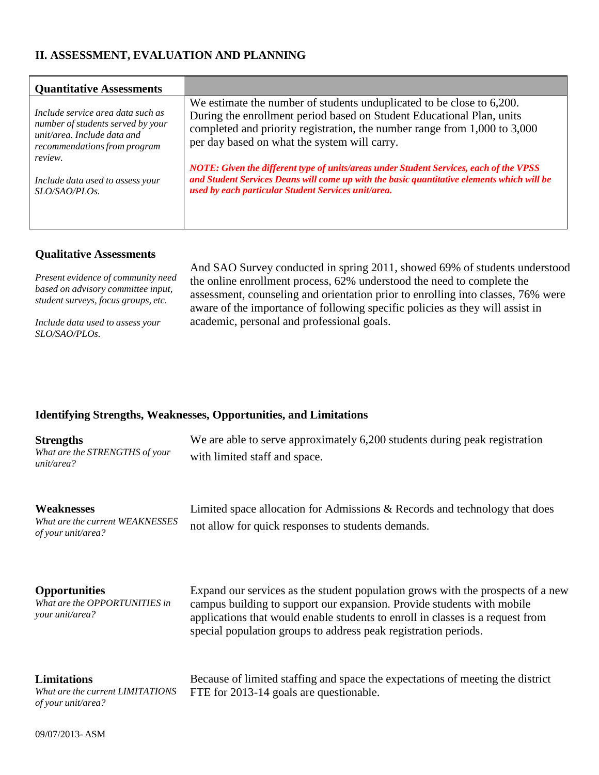# **II. ASSESSMENT, EVALUATION AND PLANNING**

| <b>Quantitative Assessments</b>   |                                                                                            |
|-----------------------------------|--------------------------------------------------------------------------------------------|
| Include service area data such as | We estimate the number of students unduplicated to be close to 6,200.                      |
| number of students served by your | During the enrollment period based on Student Educational Plan, units                      |
| $unit/area.$ Include data and     | completed and priority registration, the number range from 1,000 to 3,000                  |
| recommendations from program      | per day based on what the system will carry.                                               |
| review.                           | NOTE: Given the different type of units/areas under Student Services, each of the VPSS     |
| Include data used to assess your  | and Student Services Deans will come up with the basic quantitative elements which will be |
| SLO/SAO/PLOs.                     | used by each particular Student Services unit/area.                                        |

## **Qualitative Assessments**

| Present evidence of community need  |  |
|-------------------------------------|--|
| based on advisory committee input,  |  |
| student surveys, focus groups, etc. |  |

*Include data used to assess your SLO/SAO/PLOs.*

And SAO Survey conducted in spring 2011, showed 69% of students understood the online enrollment process, 62% understood the need to complete the assessment, counseling and orientation prior to enrolling into classes, 76% were aware of the importance of following specific policies as they will assist in academic, personal and professional goals.

# **Identifying Strengths, Weaknesses, Opportunities, and Limitations**

| <b>Strengths</b><br>What are the STRENGTHS of your<br>unit/area?             | We are able to serve approximately 6,200 students during peak registration<br>with limited staff and space.                                                                                                                                                                                                    |
|------------------------------------------------------------------------------|----------------------------------------------------------------------------------------------------------------------------------------------------------------------------------------------------------------------------------------------------------------------------------------------------------------|
| Weaknesses<br>What are the current WEAKNESSES<br>of your unit/area?          | Limited space allocation for Admissions & Records and technology that does<br>not allow for quick responses to students demands.                                                                                                                                                                               |
| <b>Opportunities</b><br>What are the OPPORTUNITIES in<br>your unit/area?     | Expand our services as the student population grows with the prospects of a new<br>campus building to support our expansion. Provide students with mobile<br>applications that would enable students to enroll in classes is a request from<br>special population groups to address peak registration periods. |
| <b>Limitations</b><br>What are the current LIMITATIONS<br>of your unit/area? | Because of limited staffing and space the expectations of meeting the district<br>FTE for 2013-14 goals are questionable.                                                                                                                                                                                      |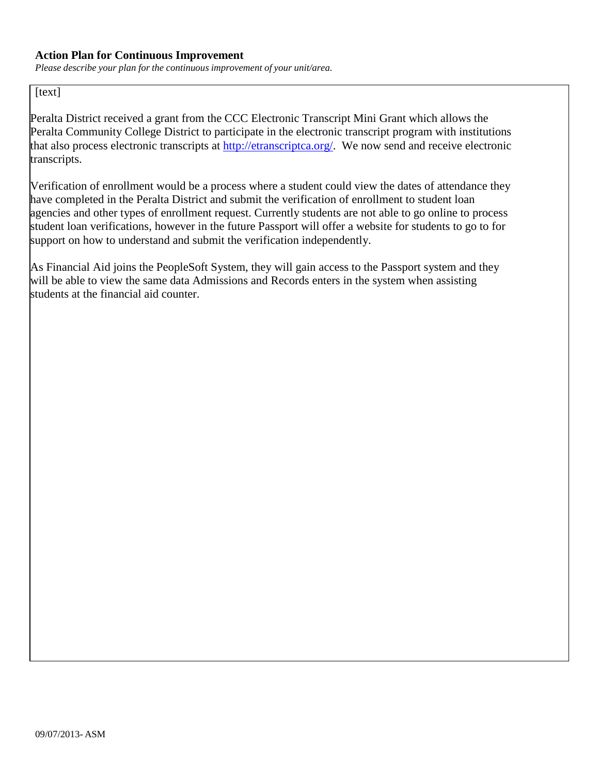## **Action Plan for Continuous Improvement**

*Please describe your plan for the continuous improvement of your unit/area.*

# [text]

Peralta District received a grant from the CCC Electronic Transcript Mini Grant which allows the Peralta Community College District to participate in the electronic transcript program with institutions that also process electronic transcripts at [http://etranscriptca.org/.](http://etranscriptca.org/) We now send and receive electronic transcripts.

Verification of enrollment would be a process where a student could view the dates of attendance they have completed in the Peralta District and submit the verification of enrollment to student loan agencies and other types of enrollment request. Currently students are not able to go online to process student loan verifications, however in the future Passport will offer a website for students to go to for support on how to understand and submit the verification independently.

As Financial Aid joins the PeopleSoft System, they will gain access to the Passport system and they will be able to view the same data Admissions and Records enters in the system when assisting students at the financial aid counter.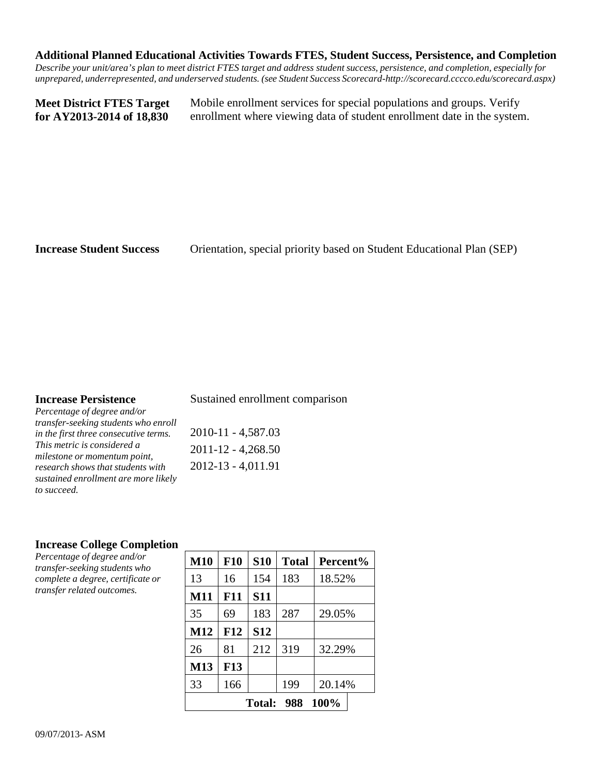#### **Additional Planned Educational Activities Towards FTES, Student Success, Persistence, and Completion**

Describe your unit/area's plan to meet district FTES target and address student success, persistence, and completion, especially for *unprepared, underrepresented, and underserved students. (see Student Success Scorecard[-http://scorecard.cccco.edu/scorecard.aspx\)](http://scorecard.cccco.edu/scorecard.aspx))*

**Meet District FTES Target for AY2013-2014 of 18,830**

Mobile enrollment services for special populations and groups. Verify enrollment where viewing data of student enrollment date in the system.

**Increase Student Success** Orientation, special priority based on Student Educational Plan (SEP)

## **Increase Persistence**

Sustained enrollment comparison

*Percentage of degree and/or transfer-seeking students who enroll in the first three consecutive terms. This metric is considered a milestone or momentum point, research shows that students with sustained enrollment are more likely to succeed.*

2010-11 - 4,587.03 2011-12 - 4,268.50 2012-13 - 4,011.91

## **Increase College Completion**

*Percentage of degree and/or transfer-seeking students who complete a degree, certificate or transfer related outcomes.*

| <b>M10</b>                   | <b>F10</b> | <b>S10</b> | <b>Total</b> | Percent% |
|------------------------------|------------|------------|--------------|----------|
| 13                           | 16         | 154        | 183          | 18.52%   |
| M11                          | F11        | <b>S11</b> |              |          |
| 35                           | 69         | 183        | 287          | 29.05%   |
| M12                          | <b>F12</b> | <b>S12</b> |              |          |
| 26                           | 81         | 212        | 319          | 32.29%   |
| M13                          | <b>F13</b> |            |              |          |
| 33                           | 166        |            | 199          | 20.14%   |
| 100%<br>988<br><b>Total:</b> |            |            |              |          |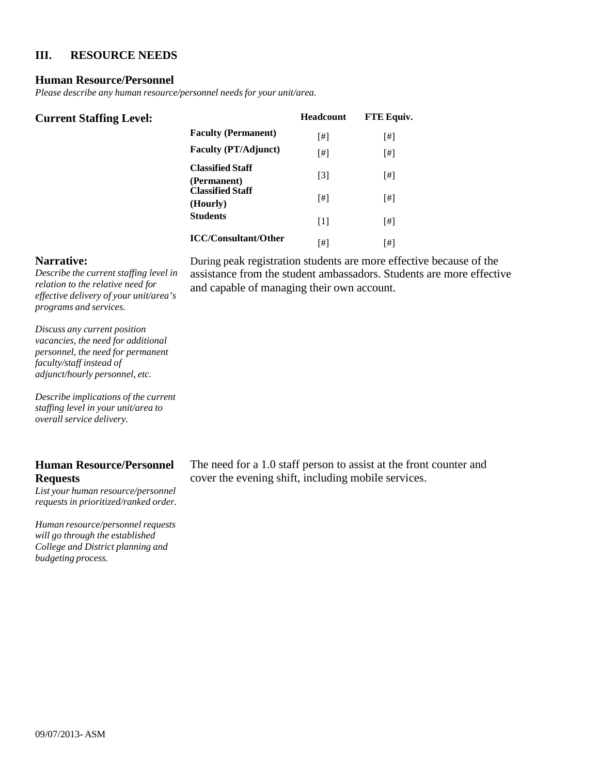## **III. RESOURCE NEEDS**

#### **Human Resource/Personnel**

*Please describe any human resource/personnel needs for your unit/area.*

| <b>Current Staffing Level:</b> |                                        | <b>Headcount</b>  | <b>FTE Equiv.</b> |
|--------------------------------|----------------------------------------|-------------------|-------------------|
|                                | <b>Faculty (Permanent)</b>             | [#]               | [#]               |
|                                | <b>Faculty (PT/Adjunct)</b>            | [#]               | [#]               |
|                                | <b>Classified Staff</b><br>(Permanent) | $[3]$             | [#]               |
|                                | <b>Classified Staff</b><br>(Hourly)    | [#]               | [#]               |
|                                | <b>Students</b>                        | $\lceil 1 \rceil$ | [#]               |
|                                | <b>ICC/Consultant/Other</b>            | [#]               | [#]               |

#### **Narrative:**

*Describe the current staffing level in relation to the relative need for effective delivery of your unit/area's programs and services.*

*Discuss any current position vacancies, the need for additional personnel, the need for permanent faculty/staff instead of adjunct/hourly personnel, etc.*

*Describe implications of the current staffing level in your unit/area to overallservice delivery.*

## **Human Resource/Personnel Requests**

*List your human resource/personnel requests in prioritized/ranked order.*

*Human resource/personnel requests will go through the established College and District planning and budgeting process.*

During peak registration students are more effective because of the assistance from the student ambassadors. Students are more effective and capable of managing their own account.

The need for a 1.0 staff person to assist at the front counter and cover the evening shift, including mobile services.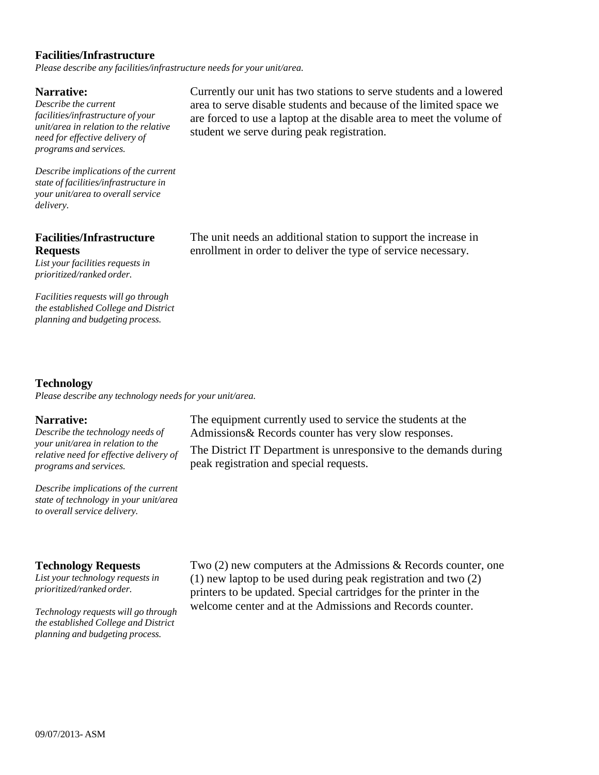### **Facilities/Infrastructure**

*Please describe any facilities/infrastructure needs for your unit/area.*

#### **Narrative:**

*Describe the current facilities/infrastructure of your unit/area in relation to the relative need for effective delivery of programs and services.*

*Describe implications of the current state of facilities/infrastructure in your unit/area to overall service delivery.*

## **Facilities/Infrastructure Requests**

*List your facilities requests in prioritized/ranked order.*

*Facilities requests will go through the established College and District planning and budgeting process.*

Currently our unit has two stations to serve students and a lowered area to serve disable students and because of the limited space we are forced to use a laptop at the disable area to meet the volume of student we serve during peak registration.

The unit needs an additional station to support the increase in enrollment in order to deliver the type of service necessary.

## **Technology**

*Please describe any technology needs for your unit/area.*

#### **Narrative:**

*Describe the technology needs of your unit/area in relation to the relative need for effective delivery of programs and services.*

*Describe implications of the current state of technology in your unit/area to overall service delivery.*

#### **Technology Requests**

*List your technology requests in prioritized/ranked order.*

*Technology requests will go through the established College and District planning and budgeting process.*

The equipment currently used to service the students at the Admissions& Records counter has very slow responses.

The District IT Department is unresponsive to the demands during peak registration and special requests.

Two (2) new computers at the Admissions & Records counter, one (1) new laptop to be used during peak registration and two (2) printers to be updated. Special cartridges for the printer in the welcome center and at the Admissions and Records counter.